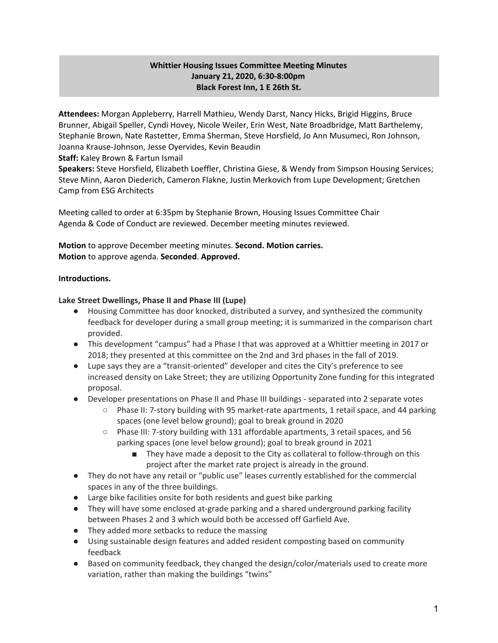# **Whittier Housing Issues Committee Meeting Minutes January 21, 2020, 6:30-8:00pm Black Forest Inn, 1 E 26th St.**

**Attendees:** Morgan Appleberry, Harrell Mathieu, Wendy Darst, Nancy Hicks, Brigid Higgins, Bruce Brunner, Abigail Speller, Cyndi Hovey, Nicole Weiler, Erin West, Nate Broadbridge, Matt Barthelemy, Stephanie Brown, Nate Rastetter, Emma Sherman, Steve Horsfield, Jo Ann Musumeci, Ron Johnson, Joanna Krause-Johnson, Jesse Oyervides, Kevin Beaudin

**Staff:** Kaley Brown & Fartun Ismail

**Speakers:** Steve Horsfield, Elizabeth Loeffler, Christina Giese, & Wendy from Simpson Housing Services; Steve Minn, Aaron Diederich, Cameron Flakne, Justin Merkovich from Lupe Development; Gretchen Camp from ESG Architects

Meeting called to order at 6:35pm by Stephanie Brown, Housing Issues Committee Chair Agenda & Code of Conduct are reviewed. December meeting minutes reviewed.

**Motion** to approve December meeting minutes. **Second. Motion carries. Motion** to approve agenda. **Seconded**. **Approved.**

## **Introductions.**

#### **Lake Street Dwellings, Phase II and Phase III (Lupe)**

- Housing Committee has door knocked, distributed a survey, and synthesized the community feedback for developer during a small group meeting; it is summarized in the comparison chart provided.
- This development "campus" had a Phase I that was approved at a Whittier meeting in 2017 or 2018; they presented at this committee on the 2nd and 3rd phases in the fall of 2019.
- Lupe says they are a "transit-oriented" developer and cites the City's preference to see increased density on Lake Street; they are utilizing Opportunity Zone funding for this integrated proposal.
- Developer presentations on Phase II and Phase III buildings separated into 2 separate votes
	- Phase II: 7-story building with 95 market-rate apartments, 1 retail space, and 44 parking spaces (one level below ground); goal to break ground in 2020
	- Phase III: 7-story building with 131 affordable apartments, 3 retail spaces, and 56 parking spaces (one level below ground); goal to break ground in 2021
		- They have made a deposit to the City as collateral to follow-through on this project after the market rate project is already in the ground.
- They do not have any retail or "public use" leases currently established for the commercial spaces in any of the three buildings.
- Large bike facilities onsite for both residents and guest bike parking
- They will have some enclosed at-grade parking and a shared underground parking facility between Phases 2 and 3 which would both be accessed off Garfield Ave.
- They added more setbacks to reduce the massing
- Using sustainable design features and added resident composting based on community feedback
- Based on community feedback, they changed the design/color/materials used to create more variation, rather than making the buildings "twins"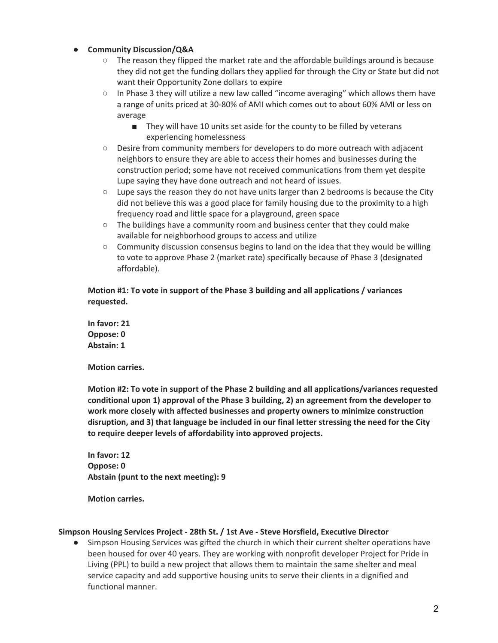## ● **Community Discussion/Q&A**

- $\circ$  The reason they flipped the market rate and the affordable buildings around is because they did not get the funding dollars they applied for through the City or State but did not want their Opportunity Zone dollars to expire
- In Phase 3 they will utilize a new law called "income averaging" which allows them have a range of units priced at 30-80% of AMI which comes out to about 60% AMI or less on average
	- They will have 10 units set aside for the county to be filled by veterans experiencing homelessness
- Desire from community members for developers to do more outreach with adjacent neighbors to ensure they are able to access their homes and businesses during the construction period; some have not received communications from them yet despite Lupe saying they have done outreach and not heard of issues.
- Lupe says the reason they do not have units larger than 2 bedrooms is because the City did not believe this was a good place for family housing due to the proximity to a high frequency road and little space for a playground, green space
- $\circ$  The buildings have a community room and business center that they could make available for neighborhood groups to access and utilize
- $\circ$  Community discussion consensus begins to land on the idea that they would be willing to vote to approve Phase 2 (market rate) specifically because of Phase 3 (designated affordable).

# **Motion #1: To vote in support of the Phase 3 building and all applications / variances requested.**

**In favor: 21 Oppose: 0 Abstain: 1**

**Motion carries.**

**Motion #2: To vote in support of the Phase 2 building and all applications/variances requested conditional upon 1) approval of the Phase 3 building, 2) an agreement from the developer to work more closely with affected businesses and property owners to minimize construction disruption, and 3) that language be included in our final letter stressing the need for the City to require deeper levels of affordability into approved projects.**

**In favor: 12 Oppose: 0 Abstain (punt to the next meeting): 9**

**Motion carries.**

#### **Simpson Housing Services Project - 28th St. / 1st Ave - Steve Horsfield, Executive Director**

● Simpson Housing Services was gifted the church in which their current shelter operations have been housed for over 40 years. They are working with nonprofit developer Project for Pride in Living (PPL) to build a new project that allows them to maintain the same shelter and meal service capacity and add supportive housing units to serve their clients in a dignified and functional manner.